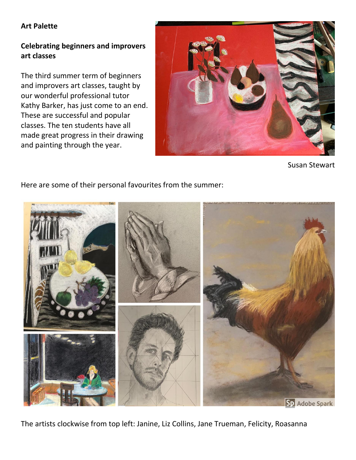# **Art Palette**

# **Celebrating beginners and improvers art classes**

The third summer term of beginners and improvers art classes, taught by our wonderful professional tutor Kathy Barker, has just come to an end. These are successful and popular classes. The ten students have all made great progress in their drawing and painting through the year.



Susan Stewart

# Here are some of their personal favourites from the summer:



The artists clockwise from top left: Janine, Liz Collins, Jane Trueman, Felicity, Roasanna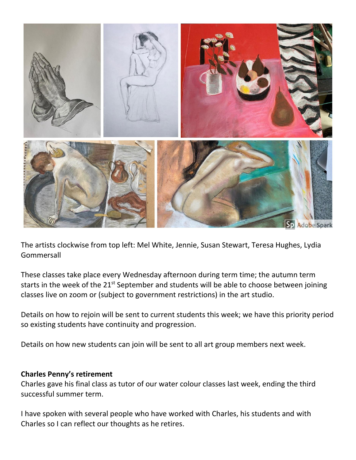

The artists clockwise from top left: Mel White, Jennie, Susan Stewart, Teresa Hughes, Lydia Gommersall

These classes take place every Wednesday afternoon during term time; the autumn term starts in the week of the 21<sup>st</sup> September and students will be able to choose between joining classes live on zoom or (subject to government restrictions) in the art studio.

Details on how to rejoin will be sent to current students this week; we have this priority period so existing students have continuity and progression.

Details on how new students can join will be sent to all art group members next week.

#### **Charles Penny's retirement**

Charles gave his final class as tutor of our water colour classes last week, ending the third successful summer term.

I have spoken with several people who have worked with Charles, his students and with Charles so I can reflect our thoughts as he retires.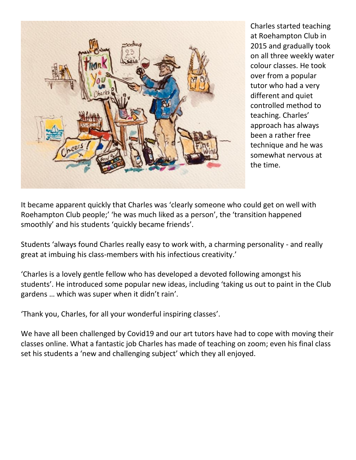

Charles started teaching at Roehampton Club in 2015 and gradually took on all three weekly water colour classes. He took over from a popular tutor who had a very different and quiet controlled method to teaching. Charles' approach has always been a rather free technique and he was somewhat nervous at the time.

It became apparent quickly that Charles was 'clearly someone who could get on well with Roehampton Club people;' 'he was much liked as a person', the 'transition happened smoothly' and his students 'quickly became friends'.

Students 'always found Charles really easy to work with, a charming personality - and really great at imbuing his class-members with his infectious creativity.'

'Charles is a lovely gentle fellow who has developed a devoted following amongst his students'. He introduced some popular new ideas, including 'taking us out to paint in the Club gardens … which was super when it didn't rain'.

'Thank you, Charles, for all your wonderful inspiring classes'.

We have all been challenged by Covid19 and our art tutors have had to cope with moving their classes online. What a fantastic job Charles has made of teaching on zoom; even his final class set his students a 'new and challenging subject' which they all enjoyed.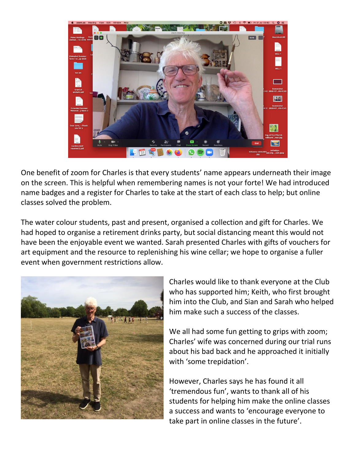

One benefit of zoom for Charles is that every students' name appears underneath their image on the screen. This is helpful when remembering names is not your forte! We had introduced name badges and a register for Charles to take at the start of each class to help; but online classes solved the problem.

The water colour students, past and present, organised a collection and gift for Charles. We had hoped to organise a retirement drinks party, but social distancing meant this would not have been the enjoyable event we wanted. Sarah presented Charles with gifts of vouchers for art equipment and the resource to replenishing his wine cellar; we hope to organise a fuller event when government restrictions allow.



Charles would like to thank everyone at the Club who has supported him; Keith, who first brought him into the Club, and Sian and Sarah who helped him make such a success of the classes.

We all had some fun getting to grips with zoom; Charles' wife was concerned during our trial runs about his bad back and he approached it initially with 'some trepidation'.

However, Charles says he has found it all 'tremendous fun', wants to thank all of his students for helping him make the online classes a success and wants to 'encourage everyone to take part in online classes in the future'.